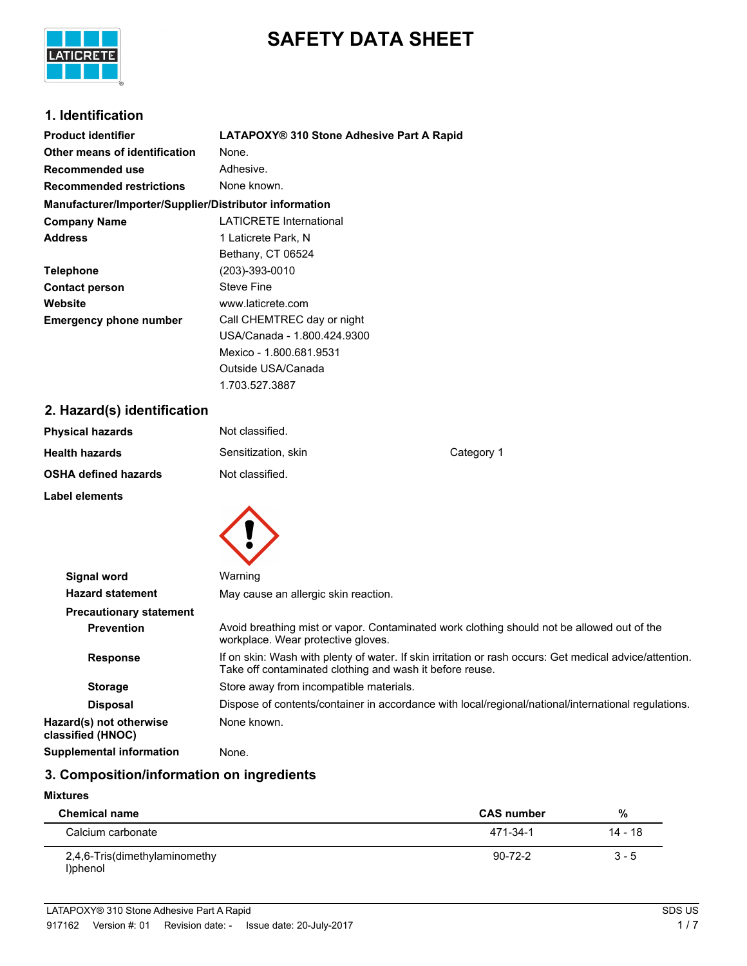

# **SAFETY DATA SHEET**

### **1. Identification**

| <b>Product identifier</b>                              | LATAPOXY® 310 Stone Adhesive Part A Rapid |
|--------------------------------------------------------|-------------------------------------------|
| Other means of identification                          | None.                                     |
| Recommended use                                        | Adhesive.                                 |
| <b>Recommended restrictions</b>                        | None known.                               |
| Manufacturer/Importer/Supplier/Distributor information |                                           |
| <b>Company Name</b>                                    | <b>LATICRETE International</b>            |
| <b>Address</b>                                         | 1 Laticrete Park, N                       |
|                                                        | Bethany, CT 06524                         |
| <b>Telephone</b>                                       | (203)-393-0010                            |
| <b>Contact person</b>                                  | <b>Steve Fine</b>                         |
| Website                                                | www.laticrete.com                         |
| <b>Emergency phone number</b>                          | Call CHEMTREC day or night                |
|                                                        | USA/Canada - 1.800.424.9300               |
|                                                        | Mexico - 1.800.681.9531                   |
|                                                        | Outside USA/Canada                        |

### **2. Hazard(s) identification**

| Not classified.     |            |
|---------------------|------------|
| Sensitization, skin | Category 1 |
| Not classified.     |            |
|                     |            |

1.703.527.3887



| <b>Signal word</b>                           | Warning                                                                                                                                                             |
|----------------------------------------------|---------------------------------------------------------------------------------------------------------------------------------------------------------------------|
| <b>Hazard statement</b>                      | May cause an allergic skin reaction.                                                                                                                                |
| <b>Precautionary statement</b>               |                                                                                                                                                                     |
| <b>Prevention</b>                            | Avoid breathing mist or vapor. Contaminated work clothing should not be allowed out of the<br>workplace. Wear protective gloves.                                    |
| <b>Response</b>                              | If on skin: Wash with plenty of water. If skin irritation or rash occurs: Get medical advice/attention.<br>Take off contaminated clothing and wash it before reuse. |
| <b>Storage</b>                               | Store away from incompatible materials.                                                                                                                             |
| <b>Disposal</b>                              | Dispose of contents/container in accordance with local/regional/national/international regulations.                                                                 |
| Hazard(s) not otherwise<br>classified (HNOC) | None known.                                                                                                                                                         |
| <b>Supplemental information</b>              | None.                                                                                                                                                               |

# **3. Composition/information on ingredients**

#### **Mixtures**

| <b>Chemical name</b>                      | <b>CAS number</b> | %       |  |
|-------------------------------------------|-------------------|---------|--|
| Calcium carbonate                         | 471-34-1          | 14 - 18 |  |
| 2,4,6-Tris(dimethylaminomethy<br>l)phenol | $90 - 72 - 2$     | $3 - 5$ |  |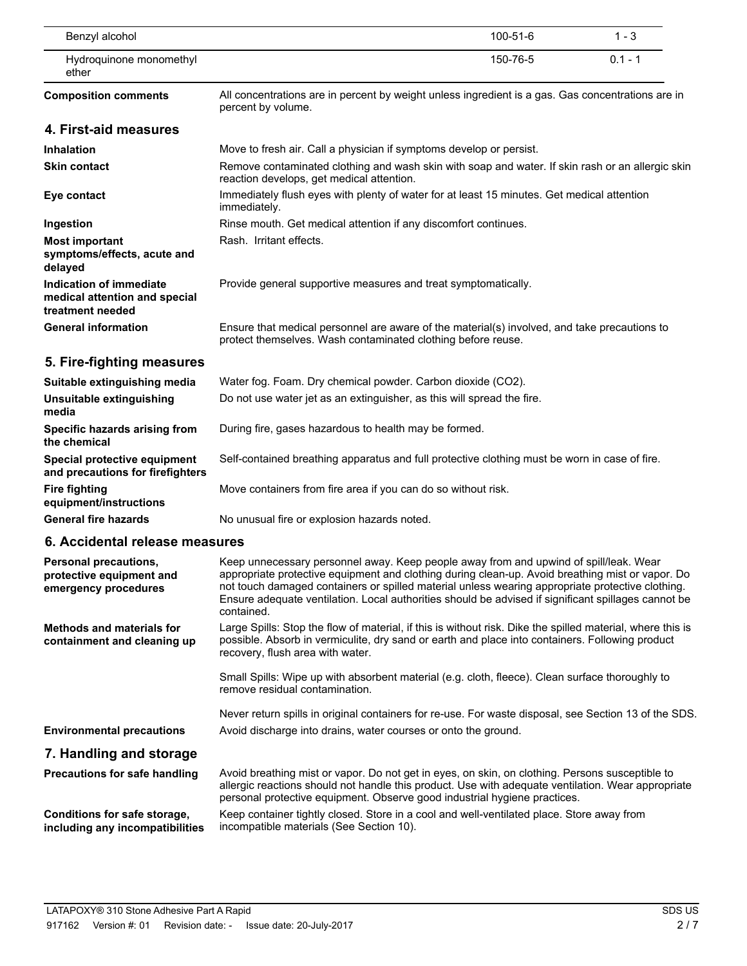| Benzyl alcohol                                                               |                                                                                                                                                                                                                                                                                                                                                                                                                    | 100-51-6 | $1 - 3$   |
|------------------------------------------------------------------------------|--------------------------------------------------------------------------------------------------------------------------------------------------------------------------------------------------------------------------------------------------------------------------------------------------------------------------------------------------------------------------------------------------------------------|----------|-----------|
| Hydroquinone monomethyl<br>ether                                             |                                                                                                                                                                                                                                                                                                                                                                                                                    | 150-76-5 | $0.1 - 1$ |
| <b>Composition comments</b>                                                  | All concentrations are in percent by weight unless ingredient is a gas. Gas concentrations are in<br>percent by volume.                                                                                                                                                                                                                                                                                            |          |           |
| 4. First-aid measures                                                        |                                                                                                                                                                                                                                                                                                                                                                                                                    |          |           |
| <b>Inhalation</b>                                                            | Move to fresh air. Call a physician if symptoms develop or persist.                                                                                                                                                                                                                                                                                                                                                |          |           |
| <b>Skin contact</b>                                                          | Remove contaminated clothing and wash skin with soap and water. If skin rash or an allergic skin<br>reaction develops, get medical attention.                                                                                                                                                                                                                                                                      |          |           |
| Eye contact                                                                  | Immediately flush eyes with plenty of water for at least 15 minutes. Get medical attention<br>immediately.                                                                                                                                                                                                                                                                                                         |          |           |
| Ingestion                                                                    | Rinse mouth. Get medical attention if any discomfort continues.                                                                                                                                                                                                                                                                                                                                                    |          |           |
| <b>Most important</b><br>symptoms/effects, acute and<br>delayed              | Rash. Irritant effects.                                                                                                                                                                                                                                                                                                                                                                                            |          |           |
| Indication of immediate<br>medical attention and special<br>treatment needed | Provide general supportive measures and treat symptomatically.                                                                                                                                                                                                                                                                                                                                                     |          |           |
| <b>General information</b>                                                   | Ensure that medical personnel are aware of the material(s) involved, and take precautions to<br>protect themselves. Wash contaminated clothing before reuse.                                                                                                                                                                                                                                                       |          |           |
| 5. Fire-fighting measures                                                    |                                                                                                                                                                                                                                                                                                                                                                                                                    |          |           |
| Suitable extinguishing media                                                 | Water fog. Foam. Dry chemical powder. Carbon dioxide (CO2).                                                                                                                                                                                                                                                                                                                                                        |          |           |
| Unsuitable extinguishing<br>media                                            | Do not use water jet as an extinguisher, as this will spread the fire.                                                                                                                                                                                                                                                                                                                                             |          |           |
| Specific hazards arising from<br>the chemical                                | During fire, gases hazardous to health may be formed.                                                                                                                                                                                                                                                                                                                                                              |          |           |
| Special protective equipment<br>and precautions for firefighters             | Self-contained breathing apparatus and full protective clothing must be worn in case of fire.                                                                                                                                                                                                                                                                                                                      |          |           |
| <b>Fire fighting</b><br>equipment/instructions                               | Move containers from fire area if you can do so without risk.                                                                                                                                                                                                                                                                                                                                                      |          |           |
| <b>General fire hazards</b>                                                  | No unusual fire or explosion hazards noted.                                                                                                                                                                                                                                                                                                                                                                        |          |           |
| 6. Accidental release measures                                               |                                                                                                                                                                                                                                                                                                                                                                                                                    |          |           |
| Personal precautions,<br>protective equipment and<br>emergency procedures    | Keep unnecessary personnel away. Keep people away from and upwind of spill/leak. Wear<br>appropriate protective equipment and clothing during clean-up. Avoid breathing mist or vapor. Do<br>not touch damaged containers or spilled material unless wearing appropriate protective clothing.<br>Ensure adequate ventilation. Local authorities should be advised if significant spillages cannot be<br>contained. |          |           |
| <b>Methods and materials for</b><br>containment and cleaning up              | Large Spills: Stop the flow of material, if this is without risk. Dike the spilled material, where this is<br>possible. Absorb in vermiculite, dry sand or earth and place into containers. Following product<br>recovery, flush area with water.                                                                                                                                                                  |          |           |
|                                                                              | Small Spills: Wipe up with absorbent material (e.g. cloth, fleece). Clean surface thoroughly to<br>remove residual contamination.                                                                                                                                                                                                                                                                                  |          |           |
|                                                                              | Never return spills in original containers for re-use. For waste disposal, see Section 13 of the SDS.                                                                                                                                                                                                                                                                                                              |          |           |

# **Environmental precautions** Avoid discharge into drains, water courses or onto the ground.

#### **7. Handling and storage**

**Precautions for safe handling**

Avoid breathing mist or vapor. Do not get in eyes, on skin, on clothing. Persons susceptible to allergic reactions should not handle this product. Use with adequate ventilation. Wear appropriate personal protective equipment. Observe good industrial hygiene practices.

**Conditions for safe storage, including any incompatibilities**

Keep container tightly closed. Store in a cool and well-ventilated place. Store away from incompatible materials (See Section 10).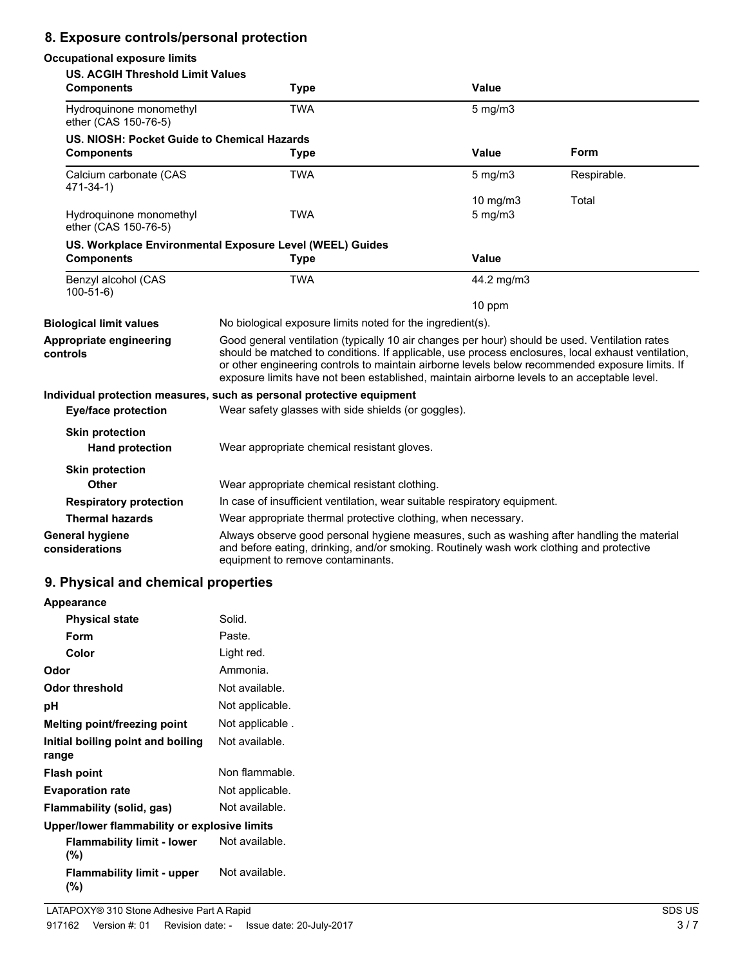## **8. Exposure controls/personal protection**

| <b>Occupational exposure limits</b>                          |                                                                                                                                                                                                                                                                                                                                                                                                        |              |             |
|--------------------------------------------------------------|--------------------------------------------------------------------------------------------------------------------------------------------------------------------------------------------------------------------------------------------------------------------------------------------------------------------------------------------------------------------------------------------------------|--------------|-------------|
| <b>US. ACGIH Threshold Limit Values</b><br><b>Components</b> | <b>Type</b>                                                                                                                                                                                                                                                                                                                                                                                            | Value        |             |
| Hydroquinone monomethyl<br>ether (CAS 150-76-5)              | <b>TWA</b>                                                                                                                                                                                                                                                                                                                                                                                             | $5$ mg/m $3$ |             |
| US. NIOSH: Pocket Guide to Chemical Hazards                  |                                                                                                                                                                                                                                                                                                                                                                                                        |              |             |
| <b>Components</b>                                            | <b>Type</b>                                                                                                                                                                                                                                                                                                                                                                                            | <b>Value</b> | Form        |
| Calcium carbonate (CAS<br>471-34-1)                          | <b>TWA</b>                                                                                                                                                                                                                                                                                                                                                                                             | $5$ mg/m $3$ | Respirable. |
|                                                              |                                                                                                                                                                                                                                                                                                                                                                                                        | 10 mg/m3     | Total       |
| Hydroquinone monomethyl<br>ether (CAS 150-76-5)              | <b>TWA</b>                                                                                                                                                                                                                                                                                                                                                                                             | $5$ mg/m $3$ |             |
|                                                              | US. Workplace Environmental Exposure Level (WEEL) Guides                                                                                                                                                                                                                                                                                                                                               |              |             |
| <b>Components</b>                                            | <b>Type</b>                                                                                                                                                                                                                                                                                                                                                                                            | Value        |             |
| Benzyl alcohol (CAS<br>$100-51-6$                            | <b>TWA</b>                                                                                                                                                                                                                                                                                                                                                                                             | 44.2 mg/m3   |             |
|                                                              |                                                                                                                                                                                                                                                                                                                                                                                                        | 10 ppm       |             |
| <b>Biological limit values</b>                               | No biological exposure limits noted for the ingredient(s).                                                                                                                                                                                                                                                                                                                                             |              |             |
| Appropriate engineering<br>controls                          | Good general ventilation (typically 10 air changes per hour) should be used. Ventilation rates<br>should be matched to conditions. If applicable, use process enclosures, local exhaust ventilation,<br>or other engineering controls to maintain airborne levels below recommended exposure limits. If<br>exposure limits have not been established, maintain airborne levels to an acceptable level. |              |             |
|                                                              | Individual protection measures, such as personal protective equipment                                                                                                                                                                                                                                                                                                                                  |              |             |
| <b>Eye/face protection</b>                                   | Wear safety glasses with side shields (or goggles).                                                                                                                                                                                                                                                                                                                                                    |              |             |
| <b>Skin protection</b><br><b>Hand protection</b>             | Wear appropriate chemical resistant gloves.                                                                                                                                                                                                                                                                                                                                                            |              |             |
| <b>Skin protection</b>                                       |                                                                                                                                                                                                                                                                                                                                                                                                        |              |             |
| <b>Other</b>                                                 | Wear appropriate chemical resistant clothing.                                                                                                                                                                                                                                                                                                                                                          |              |             |
| <b>Respiratory protection</b>                                | In case of insufficient ventilation, wear suitable respiratory equipment.                                                                                                                                                                                                                                                                                                                              |              |             |
| <b>Thermal hazards</b>                                       | Wear appropriate thermal protective clothing, when necessary.                                                                                                                                                                                                                                                                                                                                          |              |             |
| <b>General hygiene</b><br>considerations                     | Always observe good personal hygiene measures, such as washing after handling the material<br>and before eating, drinking, and/or smoking. Routinely wash work clothing and protective<br>equipment to remove contaminants.                                                                                                                                                                            |              |             |

### **9. Physical and chemical properties**

| <b>Appearance</b>                            |                 |  |
|----------------------------------------------|-----------------|--|
| <b>Physical state</b>                        | Solid.          |  |
| Form                                         | Paste.          |  |
| Color                                        | Light red.      |  |
| Odor                                         | Ammonia.        |  |
| Odor threshold                               | Not available.  |  |
| рH                                           | Not applicable. |  |
| Melting point/freezing point                 | Not applicable. |  |
| Initial boiling point and boiling<br>range   | Not available.  |  |
| <b>Flash point</b>                           | Non flammable.  |  |
| <b>Evaporation rate</b>                      | Not applicable. |  |
| Flammability (solid, gas)                    | Not available.  |  |
| Upper/lower flammability or explosive limits |                 |  |
| <b>Flammability limit - lower</b><br>$(\%)$  | Not available.  |  |
| <b>Flammability limit - upper</b><br>(%)     | Not available.  |  |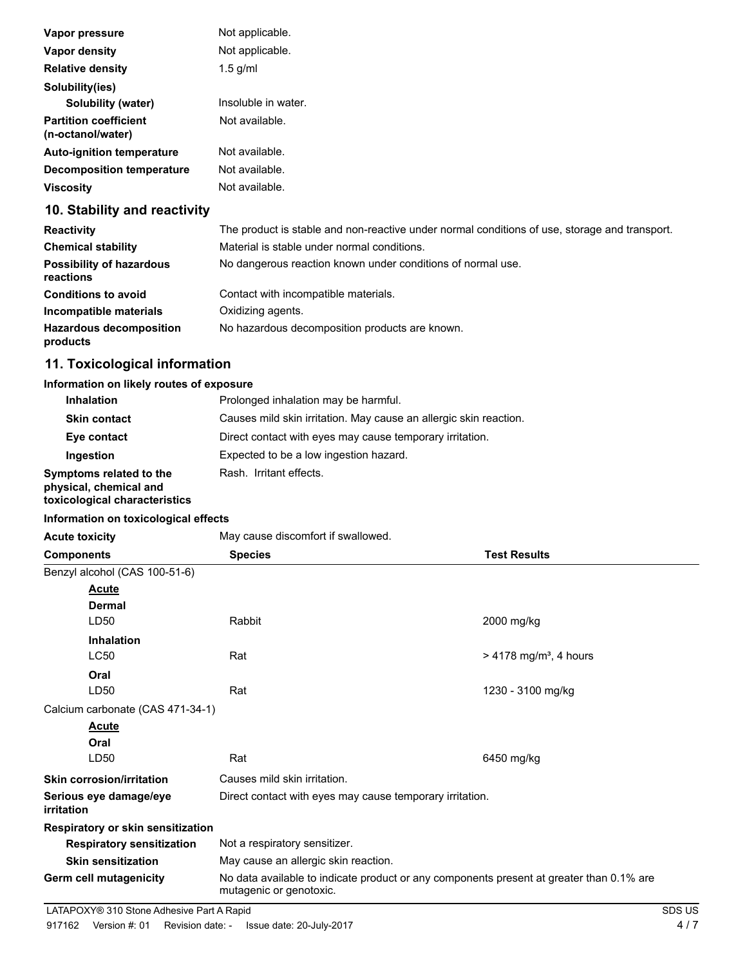| Vapor pressure                                    | Not applicable.     |
|---------------------------------------------------|---------------------|
| Vapor density                                     | Not applicable.     |
| <b>Relative density</b>                           | $1.5$ g/ml          |
| Solubility(ies)                                   |                     |
| Solubility (water)                                | Insoluble in water. |
| <b>Partition coefficient</b><br>(n-octanol/water) | Not available.      |
| <b>Auto-ignition temperature</b>                  | Not available.      |
| <b>Decomposition temperature</b>                  | Not available.      |
| <b>Viscosity</b>                                  | Not available.      |

## **10. Stability and reactivity**

| <b>Reactivity</b>                            | The product is stable and non-reactive under normal conditions of use, storage and transport. |
|----------------------------------------------|-----------------------------------------------------------------------------------------------|
| <b>Chemical stability</b>                    | Material is stable under normal conditions.                                                   |
| <b>Possibility of hazardous</b><br>reactions | No dangerous reaction known under conditions of normal use.                                   |
| <b>Conditions to avoid</b>                   | Contact with incompatible materials.                                                          |
| Incompatible materials                       | Oxidizing agents.                                                                             |
| <b>Hazardous decomposition</b><br>products   | No hazardous decomposition products are known.                                                |

# **11. Toxicological information**

#### **Information on likely routes of exposure**

| <b>Inhalation</b>                                                                  | Prolonged inhalation may be harmful.                              |
|------------------------------------------------------------------------------------|-------------------------------------------------------------------|
| <b>Skin contact</b>                                                                | Causes mild skin irritation. May cause an allergic skin reaction. |
| Eye contact                                                                        | Direct contact with eyes may cause temporary irritation.          |
| Ingestion                                                                          | Expected to be a low ingestion hazard.                            |
| Symptoms related to the<br>physical, chemical and<br>toxicological characteristics | Rash. Irritant effects.                                           |

#### **Information on toxicological effects**

| Acute toxicity |  |  |
|----------------|--|--|

Acute toxicity **May cause discomfort if swallowed.** 

| <b>Components</b>                    | <b>Species</b>                                                                                                      | <b>Test Results</b>                  |
|--------------------------------------|---------------------------------------------------------------------------------------------------------------------|--------------------------------------|
| Benzyl alcohol (CAS 100-51-6)        |                                                                                                                     |                                      |
| Acute                                |                                                                                                                     |                                      |
| <b>Dermal</b>                        |                                                                                                                     |                                      |
| LD <sub>50</sub>                     | Rabbit                                                                                                              | 2000 mg/kg                           |
| <b>Inhalation</b>                    |                                                                                                                     |                                      |
| <b>LC50</b>                          | Rat                                                                                                                 | $> 4178$ mg/m <sup>3</sup> , 4 hours |
| Oral                                 |                                                                                                                     |                                      |
| LD50                                 | Rat                                                                                                                 | 1230 - 3100 mg/kg                    |
| Calcium carbonate (CAS 471-34-1)     |                                                                                                                     |                                      |
| Acute                                |                                                                                                                     |                                      |
| Oral                                 |                                                                                                                     |                                      |
| LD50                                 | Rat                                                                                                                 | 6450 mg/kg                           |
| <b>Skin corrosion/irritation</b>     | Causes mild skin irritation.                                                                                        |                                      |
| Serious eye damage/eye<br>irritation | Direct contact with eyes may cause temporary irritation.                                                            |                                      |
| Respiratory or skin sensitization    |                                                                                                                     |                                      |
| <b>Respiratory sensitization</b>     | Not a respiratory sensitizer.                                                                                       |                                      |
| <b>Skin sensitization</b>            | May cause an allergic skin reaction.                                                                                |                                      |
| Germ cell mutagenicity               | No data available to indicate product or any components present at greater than 0.1% are<br>mutagenic or genotoxic. |                                      |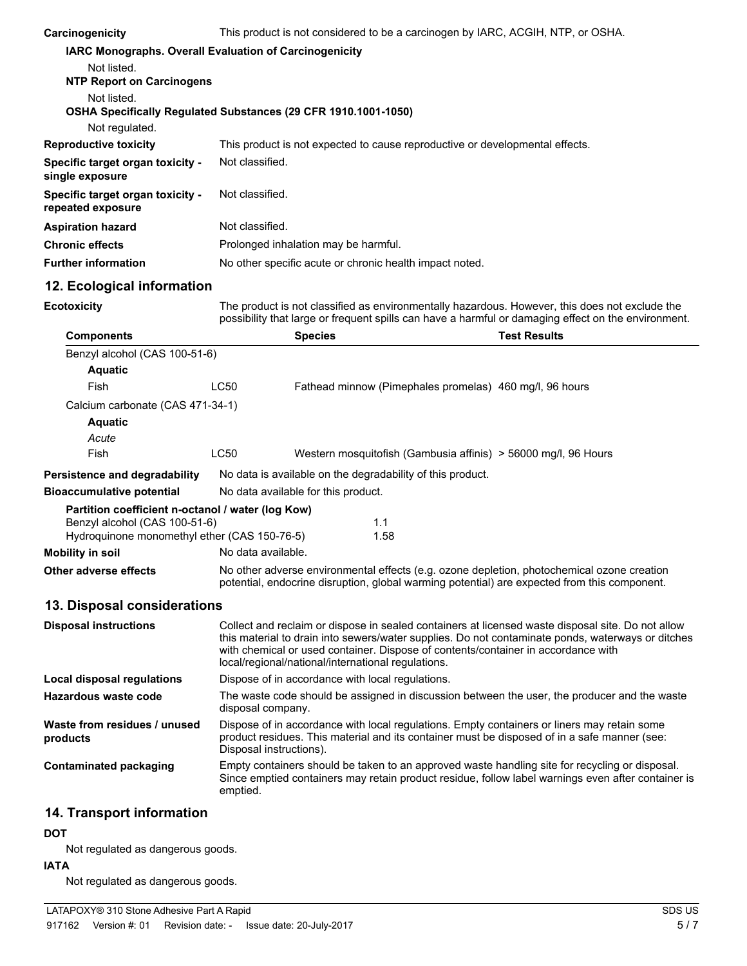| Carcinogenicity                                                                    | This product is not considered to be a carcinogen by IARC, ACGIH, NTP, or OSHA.                                                                                                                                                                                                                                                                   |                                     |                                                            |                                                                |  |
|------------------------------------------------------------------------------------|---------------------------------------------------------------------------------------------------------------------------------------------------------------------------------------------------------------------------------------------------------------------------------------------------------------------------------------------------|-------------------------------------|------------------------------------------------------------|----------------------------------------------------------------|--|
| IARC Monographs. Overall Evaluation of Carcinogenicity                             |                                                                                                                                                                                                                                                                                                                                                   |                                     |                                                            |                                                                |  |
| Not listed.<br><b>NTP Report on Carcinogens</b>                                    |                                                                                                                                                                                                                                                                                                                                                   |                                     |                                                            |                                                                |  |
| Not listed.<br>OSHA Specifically Regulated Substances (29 CFR 1910.1001-1050)      |                                                                                                                                                                                                                                                                                                                                                   |                                     |                                                            |                                                                |  |
| Not regulated.                                                                     |                                                                                                                                                                                                                                                                                                                                                   |                                     |                                                            |                                                                |  |
| <b>Reproductive toxicity</b>                                                       | This product is not expected to cause reproductive or developmental effects.                                                                                                                                                                                                                                                                      |                                     |                                                            |                                                                |  |
| Specific target organ toxicity -<br>single exposure                                | Not classified.                                                                                                                                                                                                                                                                                                                                   |                                     |                                                            |                                                                |  |
| Specific target organ toxicity -<br>repeated exposure                              | Not classified.                                                                                                                                                                                                                                                                                                                                   |                                     |                                                            |                                                                |  |
| <b>Aspiration hazard</b>                                                           | Not classified.                                                                                                                                                                                                                                                                                                                                   |                                     |                                                            |                                                                |  |
| <b>Chronic effects</b>                                                             | Prolonged inhalation may be harmful.                                                                                                                                                                                                                                                                                                              |                                     |                                                            |                                                                |  |
| <b>Further information</b>                                                         | No other specific acute or chronic health impact noted.                                                                                                                                                                                                                                                                                           |                                     |                                                            |                                                                |  |
| 12. Ecological information                                                         |                                                                                                                                                                                                                                                                                                                                                   |                                     |                                                            |                                                                |  |
| <b>Ecotoxicity</b>                                                                 | The product is not classified as environmentally hazardous. However, this does not exclude the<br>possibility that large or frequent spills can have a harmful or damaging effect on the environment.                                                                                                                                             |                                     |                                                            |                                                                |  |
| <b>Components</b>                                                                  |                                                                                                                                                                                                                                                                                                                                                   | <b>Species</b>                      |                                                            | <b>Test Results</b>                                            |  |
| Benzyl alcohol (CAS 100-51-6)<br><b>Aquatic</b>                                    |                                                                                                                                                                                                                                                                                                                                                   |                                     |                                                            |                                                                |  |
| Fish                                                                               | <b>LC50</b>                                                                                                                                                                                                                                                                                                                                       |                                     | Fathead minnow (Pimephales promelas) 460 mg/l, 96 hours    |                                                                |  |
| Calcium carbonate (CAS 471-34-1)                                                   |                                                                                                                                                                                                                                                                                                                                                   |                                     |                                                            |                                                                |  |
| <b>Aquatic</b>                                                                     |                                                                                                                                                                                                                                                                                                                                                   |                                     |                                                            |                                                                |  |
| Acute                                                                              |                                                                                                                                                                                                                                                                                                                                                   |                                     |                                                            |                                                                |  |
| Fish                                                                               | LC50                                                                                                                                                                                                                                                                                                                                              |                                     |                                                            | Western mosquitofish (Gambusia affinis) > 56000 mg/l, 96 Hours |  |
| Persistence and degradability                                                      |                                                                                                                                                                                                                                                                                                                                                   |                                     | No data is available on the degradability of this product. |                                                                |  |
| <b>Bioaccumulative potential</b>                                                   |                                                                                                                                                                                                                                                                                                                                                   | No data available for this product. |                                                            |                                                                |  |
| Partition coefficient n-octanol / water (log Kow)<br>Benzyl alcohol (CAS 100-51-6) |                                                                                                                                                                                                                                                                                                                                                   |                                     |                                                            |                                                                |  |
| Hydroquinone monomethyl ether (CAS 150-76-5)                                       |                                                                                                                                                                                                                                                                                                                                                   |                                     | 1.1<br>1.58                                                |                                                                |  |
| <b>Mobility in soil</b>                                                            | No data available.                                                                                                                                                                                                                                                                                                                                |                                     |                                                            |                                                                |  |
| Other adverse effects                                                              | No other adverse environmental effects (e.g. ozone depletion, photochemical ozone creation<br>potential, endocrine disruption, global warming potential) are expected from this component.                                                                                                                                                        |                                     |                                                            |                                                                |  |
| 13. Disposal considerations                                                        |                                                                                                                                                                                                                                                                                                                                                   |                                     |                                                            |                                                                |  |
| <b>Disposal instructions</b>                                                       | Collect and reclaim or dispose in sealed containers at licensed waste disposal site. Do not allow<br>this material to drain into sewers/water supplies. Do not contaminate ponds, waterways or ditches<br>with chemical or used container. Dispose of contents/container in accordance with<br>local/regional/national/international regulations. |                                     |                                                            |                                                                |  |
| <b>Local disposal regulations</b>                                                  | Dispose of in accordance with local regulations.                                                                                                                                                                                                                                                                                                  |                                     |                                                            |                                                                |  |
| Hazardous waste code                                                               | The waste code should be assigned in discussion between the user, the producer and the waste<br>disposal company.                                                                                                                                                                                                                                 |                                     |                                                            |                                                                |  |
| Waste from residues / unused<br>products                                           | Dispose of in accordance with local regulations. Empty containers or liners may retain some<br>product residues. This material and its container must be disposed of in a safe manner (see:<br>Disposal instructions).                                                                                                                            |                                     |                                                            |                                                                |  |
| <b>Contaminated packaging</b>                                                      | Empty containers should be taken to an approved waste handling site for recycling or disposal.<br>Since emptied containers may retain product residue, follow label warnings even after container is<br>emptied.                                                                                                                                  |                                     |                                                            |                                                                |  |
| 14. Transport information                                                          |                                                                                                                                                                                                                                                                                                                                                   |                                     |                                                            |                                                                |  |
| <b>DOT</b>                                                                         |                                                                                                                                                                                                                                                                                                                                                   |                                     |                                                            |                                                                |  |
| Not regulated as dangerous goods.                                                  |                                                                                                                                                                                                                                                                                                                                                   |                                     |                                                            |                                                                |  |

#### **IATA**

Not regulated as dangerous goods.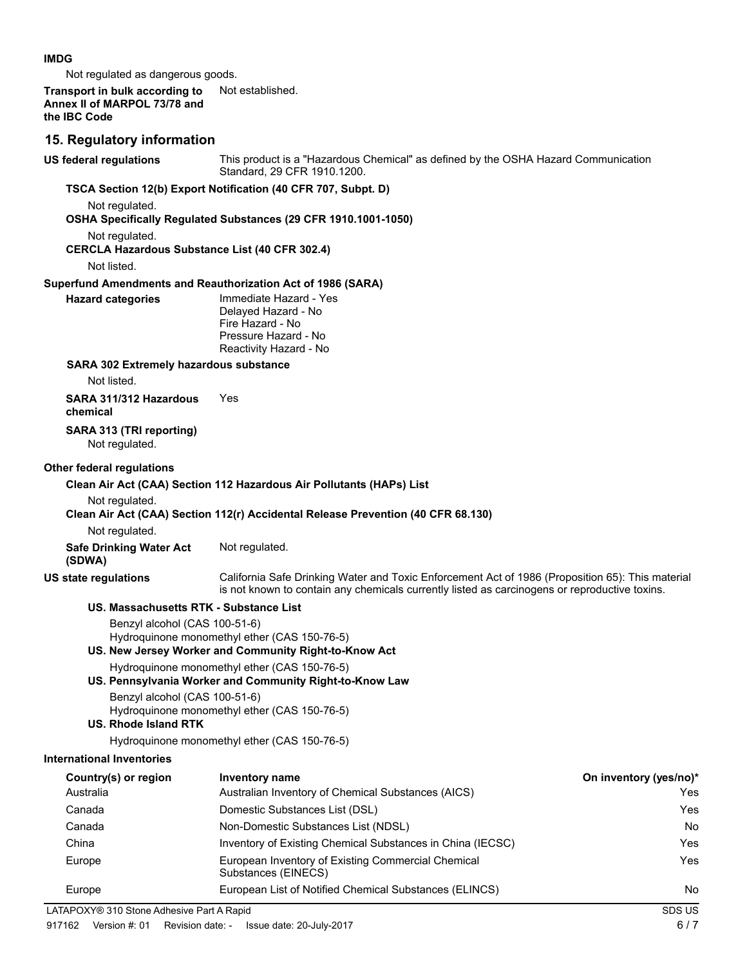#### **IMDG**

Not regulated as dangerous goods.

#### **Transport in bulk according to** Not established. **Annex II of MARPOL 73/78 and the IBC Code**

#### **15. Regulatory information**

**US federal regulations**

This product is a "Hazardous Chemical" as defined by the OSHA Hazard Communication Standard, 29 CFR 1910.1200. **TSCA Section 12(b) Export Notification (40 CFR 707, Subpt. D)** Not regulated. **OSHA Specifically Regulated Substances (29 CFR 1910.1001-1050)** Not regulated. **CERCLA Hazardous Substance List (40 CFR 302.4)** Not listed. **Superfund Amendments and Reauthorization Act of 1986 (SARA)** Immediate Hazard - Yes Delayed Hazard - No Fire Hazard - No Pressure Hazard - No Reactivity Hazard - No **Hazard categories SARA 302 Extremely hazardous substance** Not listed. **SARA 311/312 Hazardous** Yes **chemical SARA 313 (TRI reporting)** Not regulated. **Other federal regulations Clean Air Act (CAA) Section 112 Hazardous Air Pollutants (HAPs) List** Not regulated. **Clean Air Act (CAA) Section 112(r) Accidental Release Prevention (40 CFR 68.130)** Not regulated. **Safe Drinking Water Act** Not regulated. **(SDWA)** California Safe Drinking Water and Toxic Enforcement Act of 1986 (Proposition 65): This material is not known to contain any chemicals currently listed as carcinogens or reproductive toxins. **US state regulations US. Massachusetts RTK - Substance List** Benzyl alcohol (CAS 100-51-6) Hydroquinone monomethyl ether (CAS 150-76-5) **US. New Jersey Worker and Community Right-to-Know Act** Hydroquinone monomethyl ether (CAS 150-76-5) **US. Pennsylvania Worker and Community Right-to-Know Law** Benzyl alcohol (CAS 100-51-6) Hydroquinone monomethyl ether (CAS 150-76-5) **US. Rhode Island RTK** Hydroquinone monomethyl ether (CAS 150-76-5) **International Inventories Country(s) or region Inventory name On inventory (yes/no)\*** Australia Australian Inventory of Chemical Substances (AICS) Yes Canada Domestic Substances List (DSL) Yes Canada Non-Domestic Substances List (NDSL) No China Inventory of Existing Chemical Substances in China (IECSC) Yes Europe **European Inventory of Existing Commercial Chemical** Messenger Messenger and Test Substances (EINECS) Europe **European List of Notified Chemical Substances (ELINCS)** No Notice Allem Note 2014 LATAPOXY® 310 Stone Adhesive Part A Rapid SDS US SDS US SDS US 917162 Version #: 01 Revision date: - Issue date: 20-July-2017 6 / 7